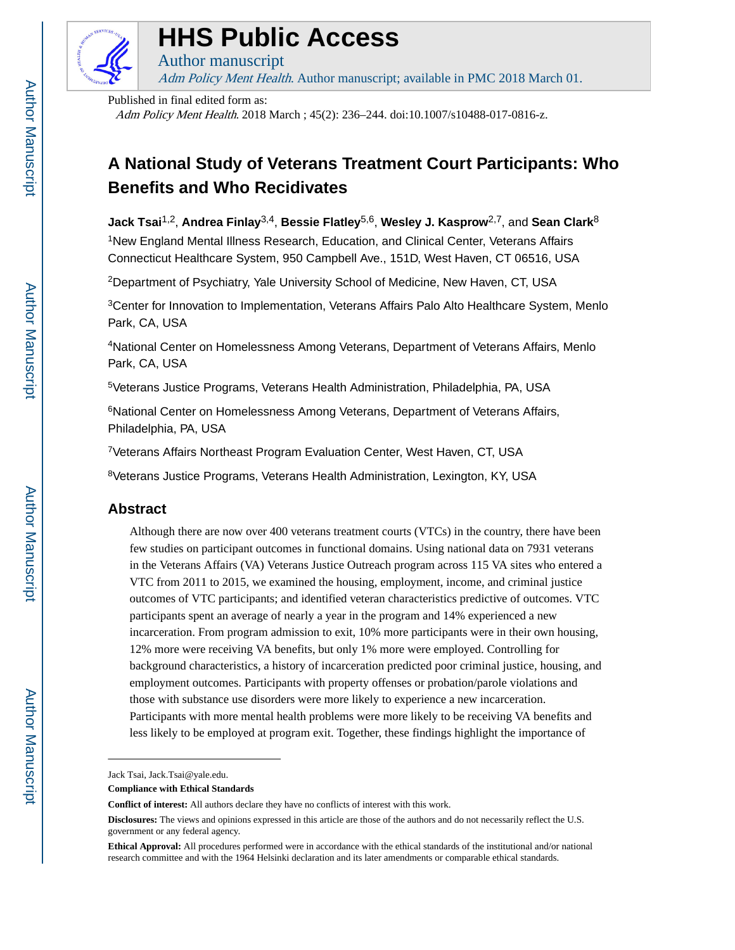

# **HHS Public Access**

Author manuscript Adm Policy Ment Health. Author manuscript; available in PMC 2018 March 01.

Published in final edited form as:

Adm Policy Ment Health. 2018 March ; 45(2): 236–244. doi:10.1007/s10488-017-0816-z.

# **A National Study of Veterans Treatment Court Participants: Who Benefits and Who Recidivates**

**Jack Tsai**1,2, **Andrea Finlay**3,4, **Bessie Flatley**5,6, **Wesley J. Kasprow**2,7, and **Sean Clark**<sup>8</sup> <sup>1</sup>New England Mental Illness Research, Education, and Clinical Center, Veterans Affairs Connecticut Healthcare System, 950 Campbell Ave., 151D, West Haven, CT 06516, USA

<sup>2</sup>Department of Psychiatry, Yale University School of Medicine, New Haven, CT, USA

<sup>3</sup>Center for Innovation to Implementation, Veterans Affairs Palo Alto Healthcare System, Menlo Park, CA, USA

<sup>4</sup>National Center on Homelessness Among Veterans, Department of Veterans Affairs, Menlo Park, CA, USA

<sup>5</sup>Veterans Justice Programs, Veterans Health Administration, Philadelphia, PA, USA

<sup>6</sup>National Center on Homelessness Among Veterans, Department of Veterans Affairs, Philadelphia, PA, USA

<sup>7</sup>Veterans Affairs Northeast Program Evaluation Center, West Haven, CT, USA

<sup>8</sup>Veterans Justice Programs, Veterans Health Administration, Lexington, KY, USA

# **Abstract**

Although there are now over 400 veterans treatment courts (VTCs) in the country, there have been few studies on participant outcomes in functional domains. Using national data on 7931 veterans in the Veterans Affairs (VA) Veterans Justice Outreach program across 115 VA sites who entered a VTC from 2011 to 2015, we examined the housing, employment, income, and criminal justice outcomes of VTC participants; and identified veteran characteristics predictive of outcomes. VTC participants spent an average of nearly a year in the program and 14% experienced a new incarceration. From program admission to exit, 10% more participants were in their own housing, 12% more were receiving VA benefits, but only 1% more were employed. Controlling for background characteristics, a history of incarceration predicted poor criminal justice, housing, and employment outcomes. Participants with property offenses or probation/parole violations and those with substance use disorders were more likely to experience a new incarceration. Participants with more mental health problems were more likely to be receiving VA benefits and less likely to be employed at program exit. Together, these findings highlight the importance of

Jack Tsai, Jack.Tsai@yale.edu.

**Compliance with Ethical Standards**

**Conflict of interest:** All authors declare they have no conflicts of interest with this work.

**Disclosures:** The views and opinions expressed in this article are those of the authors and do not necessarily reflect the U.S. government or any federal agency.

**Ethical Approval:** All procedures performed were in accordance with the ethical standards of the institutional and/or national research committee and with the 1964 Helsinki declaration and its later amendments or comparable ethical standards.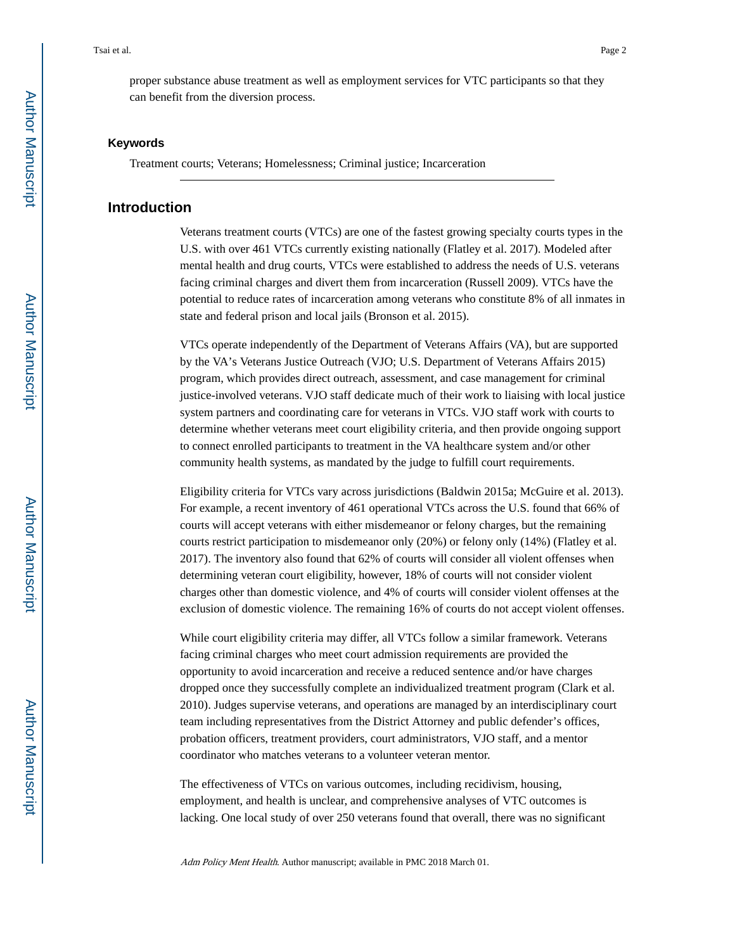proper substance abuse treatment as well as employment services for VTC participants so that they can benefit from the diversion process.

#### **Keywords**

Treatment courts; Veterans; Homelessness; Criminal justice; Incarceration

## **Introduction**

Veterans treatment courts (VTCs) are one of the fastest growing specialty courts types in the U.S. with over 461 VTCs currently existing nationally (Flatley et al. 2017). Modeled after mental health and drug courts, VTCs were established to address the needs of U.S. veterans facing criminal charges and divert them from incarceration (Russell 2009). VTCs have the potential to reduce rates of incarceration among veterans who constitute 8% of all inmates in state and federal prison and local jails (Bronson et al. 2015).

VTCs operate independently of the Department of Veterans Affairs (VA), but are supported by the VA's Veterans Justice Outreach (VJO; U.S. Department of Veterans Affairs 2015) program, which provides direct outreach, assessment, and case management for criminal justice-involved veterans. VJO staff dedicate much of their work to liaising with local justice system partners and coordinating care for veterans in VTCs. VJO staff work with courts to determine whether veterans meet court eligibility criteria, and then provide ongoing support to connect enrolled participants to treatment in the VA healthcare system and/or other community health systems, as mandated by the judge to fulfill court requirements.

Eligibility criteria for VTCs vary across jurisdictions (Baldwin 2015a; McGuire et al. 2013). For example, a recent inventory of 461 operational VTCs across the U.S. found that 66% of courts will accept veterans with either misdemeanor or felony charges, but the remaining courts restrict participation to misdemeanor only (20%) or felony only (14%) (Flatley et al. 2017). The inventory also found that 62% of courts will consider all violent offenses when determining veteran court eligibility, however, 18% of courts will not consider violent charges other than domestic violence, and 4% of courts will consider violent offenses at the exclusion of domestic violence. The remaining 16% of courts do not accept violent offenses.

While court eligibility criteria may differ, all VTCs follow a similar framework. Veterans facing criminal charges who meet court admission requirements are provided the opportunity to avoid incarceration and receive a reduced sentence and/or have charges dropped once they successfully complete an individualized treatment program (Clark et al. 2010). Judges supervise veterans, and operations are managed by an interdisciplinary court team including representatives from the District Attorney and public defender's offices, probation officers, treatment providers, court administrators, VJO staff, and a mentor coordinator who matches veterans to a volunteer veteran mentor.

The effectiveness of VTCs on various outcomes, including recidivism, housing, employment, and health is unclear, and comprehensive analyses of VTC outcomes is lacking. One local study of over 250 veterans found that overall, there was no significant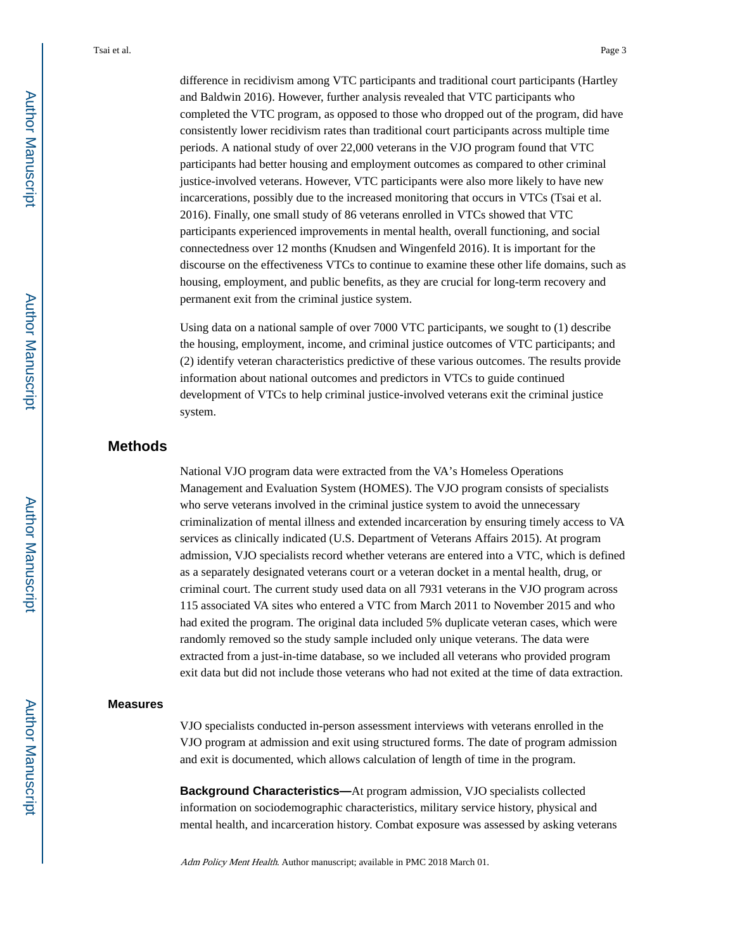difference in recidivism among VTC participants and traditional court participants (Hartley and Baldwin 2016). However, further analysis revealed that VTC participants who completed the VTC program, as opposed to those who dropped out of the program, did have consistently lower recidivism rates than traditional court participants across multiple time periods. A national study of over 22,000 veterans in the VJO program found that VTC participants had better housing and employment outcomes as compared to other criminal justice-involved veterans. However, VTC participants were also more likely to have new incarcerations, possibly due to the increased monitoring that occurs in VTCs (Tsai et al. 2016). Finally, one small study of 86 veterans enrolled in VTCs showed that VTC participants experienced improvements in mental health, overall functioning, and social connectedness over 12 months (Knudsen and Wingenfeld 2016). It is important for the discourse on the effectiveness VTCs to continue to examine these other life domains, such as housing, employment, and public benefits, as they are crucial for long-term recovery and permanent exit from the criminal justice system.

Using data on a national sample of over 7000 VTC participants, we sought to (1) describe the housing, employment, income, and criminal justice outcomes of VTC participants; and (2) identify veteran characteristics predictive of these various outcomes. The results provide information about national outcomes and predictors in VTCs to guide continued development of VTCs to help criminal justice-involved veterans exit the criminal justice system.

# **Methods**

National VJO program data were extracted from the VA's Homeless Operations Management and Evaluation System (HOMES). The VJO program consists of specialists who serve veterans involved in the criminal justice system to avoid the unnecessary criminalization of mental illness and extended incarceration by ensuring timely access to VA services as clinically indicated (U.S. Department of Veterans Affairs 2015). At program admission, VJO specialists record whether veterans are entered into a VTC, which is defined as a separately designated veterans court or a veteran docket in a mental health, drug, or criminal court. The current study used data on all 7931 veterans in the VJO program across 115 associated VA sites who entered a VTC from March 2011 to November 2015 and who had exited the program. The original data included 5% duplicate veteran cases, which were randomly removed so the study sample included only unique veterans. The data were extracted from a just-in-time database, so we included all veterans who provided program exit data but did not include those veterans who had not exited at the time of data extraction.

#### **Measures**

VJO specialists conducted in-person assessment interviews with veterans enrolled in the VJO program at admission and exit using structured forms. The date of program admission and exit is documented, which allows calculation of length of time in the program.

**Background Characteristics—**At program admission, VJO specialists collected information on sociodemographic characteristics, military service history, physical and mental health, and incarceration history. Combat exposure was assessed by asking veterans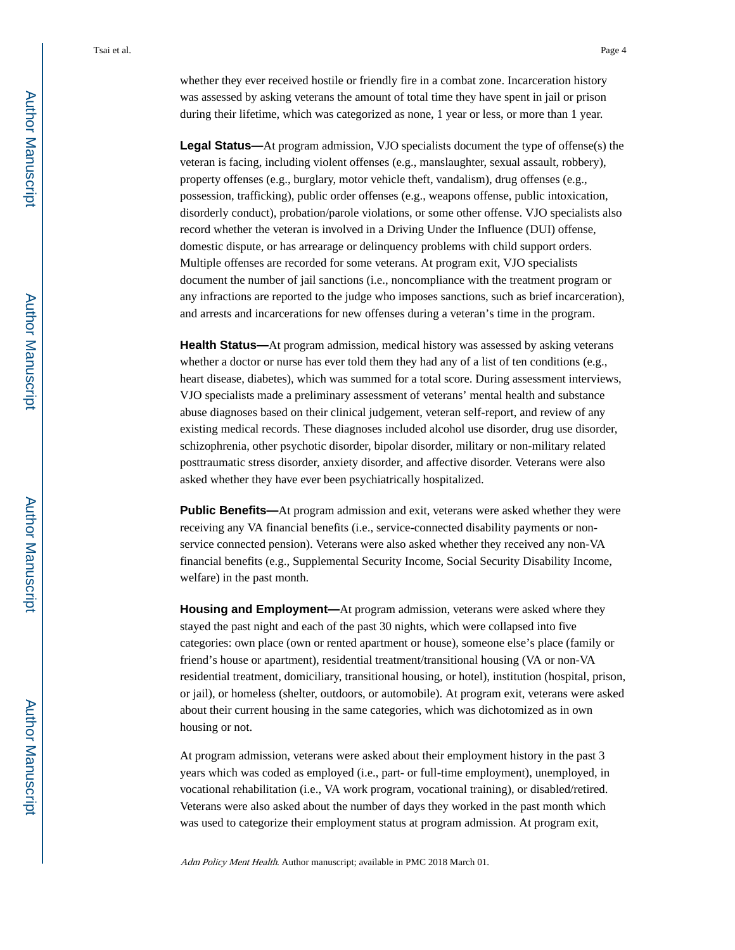whether they ever received hostile or friendly fire in a combat zone. Incarceration history was assessed by asking veterans the amount of total time they have spent in jail or prison during their lifetime, which was categorized as none, 1 year or less, or more than 1 year.

**Legal Status—**At program admission, VJO specialists document the type of offense(s) the veteran is facing, including violent offenses (e.g., manslaughter, sexual assault, robbery), property offenses (e.g., burglary, motor vehicle theft, vandalism), drug offenses (e.g., possession, trafficking), public order offenses (e.g., weapons offense, public intoxication, disorderly conduct), probation/parole violations, or some other offense. VJO specialists also record whether the veteran is involved in a Driving Under the Influence (DUI) offense, domestic dispute, or has arrearage or delinquency problems with child support orders. Multiple offenses are recorded for some veterans. At program exit, VJO specialists document the number of jail sanctions (i.e., noncompliance with the treatment program or any infractions are reported to the judge who imposes sanctions, such as brief incarceration), and arrests and incarcerations for new offenses during a veteran's time in the program.

**Health Status—**At program admission, medical history was assessed by asking veterans whether a doctor or nurse has ever told them they had any of a list of ten conditions (e.g., heart disease, diabetes), which was summed for a total score. During assessment interviews, VJO specialists made a preliminary assessment of veterans' mental health and substance abuse diagnoses based on their clinical judgement, veteran self-report, and review of any existing medical records. These diagnoses included alcohol use disorder, drug use disorder, schizophrenia, other psychotic disorder, bipolar disorder, military or non-military related posttraumatic stress disorder, anxiety disorder, and affective disorder. Veterans were also asked whether they have ever been psychiatrically hospitalized.

**Public Benefits—**At program admission and exit, veterans were asked whether they were receiving any VA financial benefits (i.e., service-connected disability payments or nonservice connected pension). Veterans were also asked whether they received any non-VA financial benefits (e.g., Supplemental Security Income, Social Security Disability Income, welfare) in the past month.

**Housing and Employment—**At program admission, veterans were asked where they stayed the past night and each of the past 30 nights, which were collapsed into five categories: own place (own or rented apartment or house), someone else's place (family or friend's house or apartment), residential treatment/transitional housing (VA or non-VA residential treatment, domiciliary, transitional housing, or hotel), institution (hospital, prison, or jail), or homeless (shelter, outdoors, or automobile). At program exit, veterans were asked about their current housing in the same categories, which was dichotomized as in own housing or not.

At program admission, veterans were asked about their employment history in the past 3 years which was coded as employed (i.e., part- or full-time employment), unemployed, in vocational rehabilitation (i.e., VA work program, vocational training), or disabled/retired. Veterans were also asked about the number of days they worked in the past month which was used to categorize their employment status at program admission. At program exit,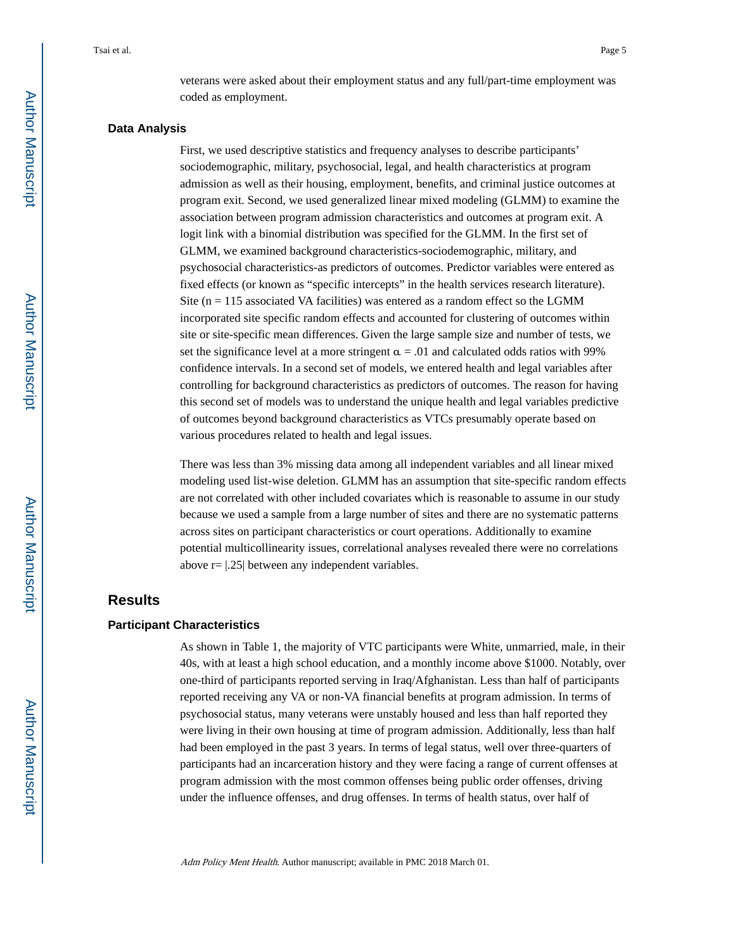veterans were asked about their employment status and any full/part-time employment was coded as employment.

#### **Data Analysis**

First, we used descriptive statistics and frequency analyses to describe participants' sociodemographic, military, psychosocial, legal, and health characteristics at program admission as well as their housing, employment, benefits, and criminal justice outcomes at program exit. Second, we used generalized linear mixed modeling (GLMM) to examine the association between program admission characteristics and outcomes at program exit. A logit link with a binomial distribution was specified for the GLMM. In the first set of GLMM, we examined background characteristics-sociodemographic, military, and psychosocial characteristics-as predictors of outcomes. Predictor variables were entered as fixed effects (or known as "specific intercepts" in the health services research literature). Site  $(n = 115$  associated VA facilities) was entered as a random effect so the LGMM incorporated site specific random effects and accounted for clustering of outcomes within site or site-specific mean differences. Given the large sample size and number of tests, we set the significance level at a more stringent  $\alpha = .01$  and calculated odds ratios with 99% confidence intervals. In a second set of models, we entered health and legal variables after controlling for background characteristics as predictors of outcomes. The reason for having this second set of models was to understand the unique health and legal variables predictive of outcomes beyond background characteristics as VTCs presumably operate based on various procedures related to health and legal issues.

There was less than 3% missing data among all independent variables and all linear mixed modeling used list-wise deletion. GLMM has an assumption that site-specific random effects are not correlated with other included covariates which is reasonable to assume in our study because we used a sample from a large number of sites and there are no systematic patterns across sites on participant characteristics or court operations. Additionally to examine potential multicollinearity issues, correlational analyses revealed there were no correlations above r= |.25| between any independent variables.

# **Results**

#### **Participant Characteristics**

As shown in Table 1, the majority of VTC participants were White, unmarried, male, in their 40s, with at least a high school education, and a monthly income above \$1000. Notably, over one-third of participants reported serving in Iraq/Afghanistan. Less than half of participants reported receiving any VA or non-VA financial benefits at program admission. In terms of psychosocial status, many veterans were unstably housed and less than half reported they were living in their own housing at time of program admission. Additionally, less than half had been employed in the past 3 years. In terms of legal status, well over three-quarters of participants had an incarceration history and they were facing a range of current offenses at program admission with the most common offenses being public order offenses, driving under the influence offenses, and drug offenses. In terms of health status, over half of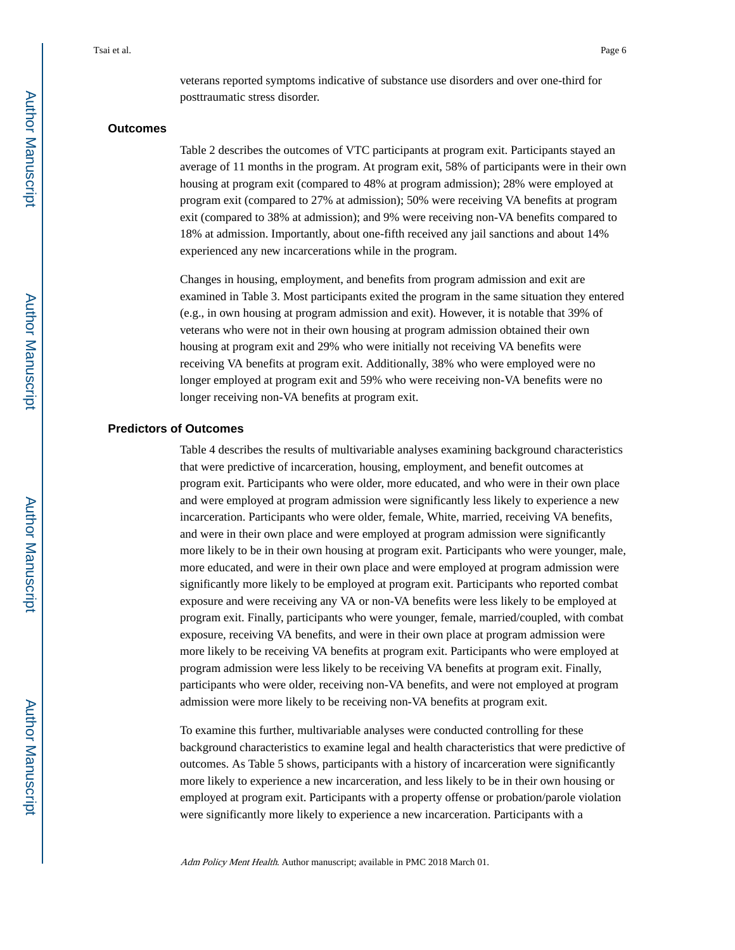veterans reported symptoms indicative of substance use disorders and over one-third for posttraumatic stress disorder.

#### **Outcomes**

Table 2 describes the outcomes of VTC participants at program exit. Participants stayed an average of 11 months in the program. At program exit, 58% of participants were in their own housing at program exit (compared to 48% at program admission); 28% were employed at program exit (compared to 27% at admission); 50% were receiving VA benefits at program exit (compared to 38% at admission); and 9% were receiving non-VA benefits compared to 18% at admission. Importantly, about one-fifth received any jail sanctions and about 14% experienced any new incarcerations while in the program.

Changes in housing, employment, and benefits from program admission and exit are examined in Table 3. Most participants exited the program in the same situation they entered (e.g., in own housing at program admission and exit). However, it is notable that 39% of veterans who were not in their own housing at program admission obtained their own housing at program exit and 29% who were initially not receiving VA benefits were receiving VA benefits at program exit. Additionally, 38% who were employed were no longer employed at program exit and 59% who were receiving non-VA benefits were no longer receiving non-VA benefits at program exit.

# **Predictors of Outcomes**

Table 4 describes the results of multivariable analyses examining background characteristics that were predictive of incarceration, housing, employment, and benefit outcomes at program exit. Participants who were older, more educated, and who were in their own place and were employed at program admission were significantly less likely to experience a new incarceration. Participants who were older, female, White, married, receiving VA benefits, and were in their own place and were employed at program admission were significantly more likely to be in their own housing at program exit. Participants who were younger, male, more educated, and were in their own place and were employed at program admission were significantly more likely to be employed at program exit. Participants who reported combat exposure and were receiving any VA or non-VA benefits were less likely to be employed at program exit. Finally, participants who were younger, female, married/coupled, with combat exposure, receiving VA benefits, and were in their own place at program admission were more likely to be receiving VA benefits at program exit. Participants who were employed at program admission were less likely to be receiving VA benefits at program exit. Finally, participants who were older, receiving non-VA benefits, and were not employed at program admission were more likely to be receiving non-VA benefits at program exit.

To examine this further, multivariable analyses were conducted controlling for these background characteristics to examine legal and health characteristics that were predictive of outcomes. As Table 5 shows, participants with a history of incarceration were significantly more likely to experience a new incarceration, and less likely to be in their own housing or employed at program exit. Participants with a property offense or probation/parole violation were significantly more likely to experience a new incarceration. Participants with a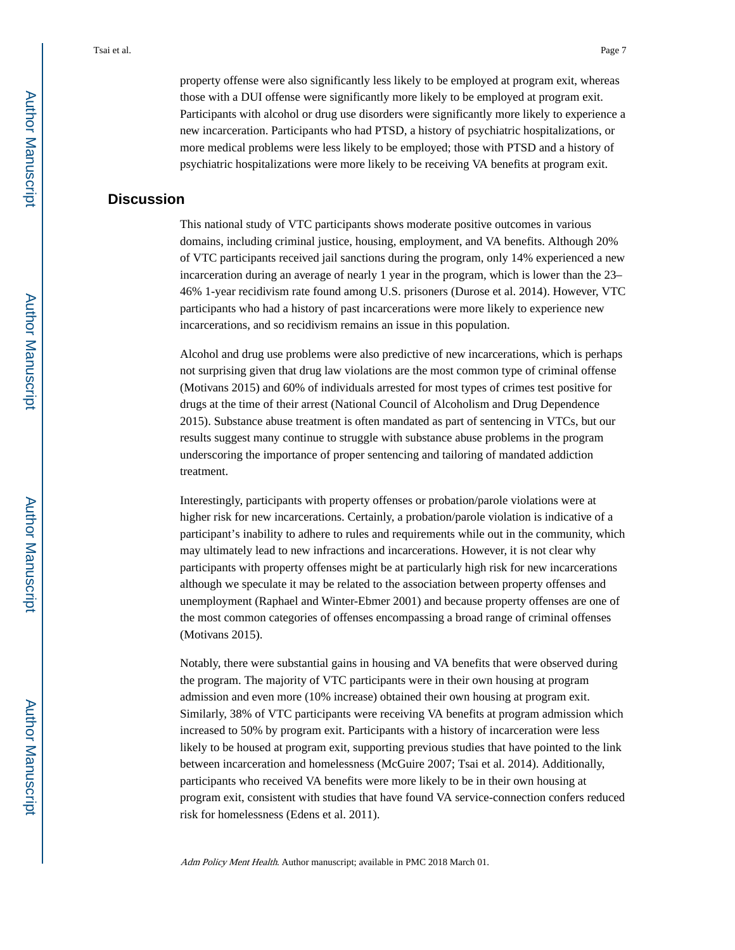property offense were also significantly less likely to be employed at program exit, whereas those with a DUI offense were significantly more likely to be employed at program exit. Participants with alcohol or drug use disorders were significantly more likely to experience a new incarceration. Participants who had PTSD, a history of psychiatric hospitalizations, or more medical problems were less likely to be employed; those with PTSD and a history of psychiatric hospitalizations were more likely to be receiving VA benefits at program exit.

# **Discussion**

This national study of VTC participants shows moderate positive outcomes in various domains, including criminal justice, housing, employment, and VA benefits. Although 20% of VTC participants received jail sanctions during the program, only 14% experienced a new incarceration during an average of nearly 1 year in the program, which is lower than the 23– 46% 1-year recidivism rate found among U.S. prisoners (Durose et al. 2014). However, VTC participants who had a history of past incarcerations were more likely to experience new incarcerations, and so recidivism remains an issue in this population.

Alcohol and drug use problems were also predictive of new incarcerations, which is perhaps not surprising given that drug law violations are the most common type of criminal offense (Motivans 2015) and 60% of individuals arrested for most types of crimes test positive for drugs at the time of their arrest (National Council of Alcoholism and Drug Dependence 2015). Substance abuse treatment is often mandated as part of sentencing in VTCs, but our results suggest many continue to struggle with substance abuse problems in the program underscoring the importance of proper sentencing and tailoring of mandated addiction treatment.

Interestingly, participants with property offenses or probation/parole violations were at higher risk for new incarcerations. Certainly, a probation/parole violation is indicative of a participant's inability to adhere to rules and requirements while out in the community, which may ultimately lead to new infractions and incarcerations. However, it is not clear why participants with property offenses might be at particularly high risk for new incarcerations although we speculate it may be related to the association between property offenses and unemployment (Raphael and Winter-Ebmer 2001) and because property offenses are one of the most common categories of offenses encompassing a broad range of criminal offenses (Motivans 2015).

Notably, there were substantial gains in housing and VA benefits that were observed during the program. The majority of VTC participants were in their own housing at program admission and even more (10% increase) obtained their own housing at program exit. Similarly, 38% of VTC participants were receiving VA benefits at program admission which increased to 50% by program exit. Participants with a history of incarceration were less likely to be housed at program exit, supporting previous studies that have pointed to the link between incarceration and homelessness (McGuire 2007; Tsai et al. 2014). Additionally, participants who received VA benefits were more likely to be in their own housing at program exit, consistent with studies that have found VA service-connection confers reduced risk for homelessness (Edens et al. 2011).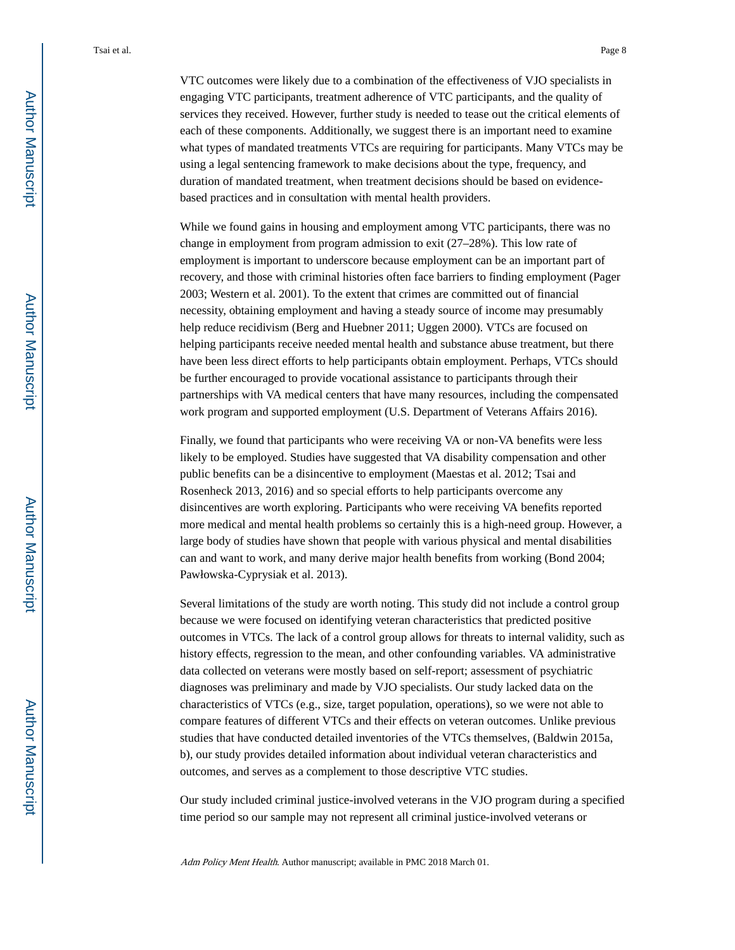VTC outcomes were likely due to a combination of the effectiveness of VJO specialists in engaging VTC participants, treatment adherence of VTC participants, and the quality of services they received. However, further study is needed to tease out the critical elements of each of these components. Additionally, we suggest there is an important need to examine what types of mandated treatments VTCs are requiring for participants. Many VTCs may be using a legal sentencing framework to make decisions about the type, frequency, and duration of mandated treatment, when treatment decisions should be based on evidencebased practices and in consultation with mental health providers.

While we found gains in housing and employment among VTC participants, there was no change in employment from program admission to exit (27–28%). This low rate of employment is important to underscore because employment can be an important part of recovery, and those with criminal histories often face barriers to finding employment (Pager 2003; Western et al. 2001). To the extent that crimes are committed out of financial necessity, obtaining employment and having a steady source of income may presumably help reduce recidivism (Berg and Huebner 2011; Uggen 2000). VTCs are focused on helping participants receive needed mental health and substance abuse treatment, but there have been less direct efforts to help participants obtain employment. Perhaps, VTCs should be further encouraged to provide vocational assistance to participants through their partnerships with VA medical centers that have many resources, including the compensated work program and supported employment (U.S. Department of Veterans Affairs 2016).

Finally, we found that participants who were receiving VA or non-VA benefits were less likely to be employed. Studies have suggested that VA disability compensation and other public benefits can be a disincentive to employment (Maestas et al. 2012; Tsai and Rosenheck 2013, 2016) and so special efforts to help participants overcome any disincentives are worth exploring. Participants who were receiving VA benefits reported more medical and mental health problems so certainly this is a high-need group. However, a large body of studies have shown that people with various physical and mental disabilities can and want to work, and many derive major health benefits from working (Bond 2004; Pawłowska-Cyprysiak et al. 2013).

Several limitations of the study are worth noting. This study did not include a control group because we were focused on identifying veteran characteristics that predicted positive outcomes in VTCs. The lack of a control group allows for threats to internal validity, such as history effects, regression to the mean, and other confounding variables. VA administrative data collected on veterans were mostly based on self-report; assessment of psychiatric diagnoses was preliminary and made by VJO specialists. Our study lacked data on the characteristics of VTCs (e.g., size, target population, operations), so we were not able to compare features of different VTCs and their effects on veteran outcomes. Unlike previous studies that have conducted detailed inventories of the VTCs themselves, (Baldwin 2015a, b), our study provides detailed information about individual veteran characteristics and outcomes, and serves as a complement to those descriptive VTC studies.

Our study included criminal justice-involved veterans in the VJO program during a specified time period so our sample may not represent all criminal justice-involved veterans or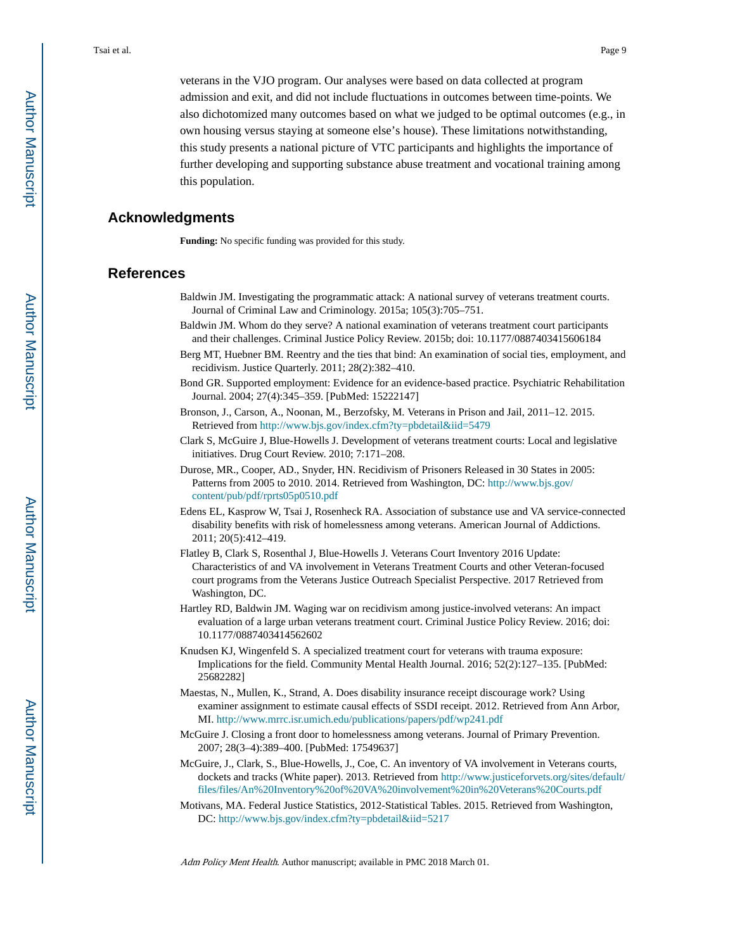veterans in the VJO program. Our analyses were based on data collected at program admission and exit, and did not include fluctuations in outcomes between time-points. We also dichotomized many outcomes based on what we judged to be optimal outcomes (e.g., in own housing versus staying at someone else's house). These limitations notwithstanding, this study presents a national picture of VTC participants and highlights the importance of further developing and supporting substance abuse treatment and vocational training among this population.

# **Acknowledgments**

**Funding:** No specific funding was provided for this study.

# **References**

- Baldwin JM. Investigating the programmatic attack: A national survey of veterans treatment courts. Journal of Criminal Law and Criminology. 2015a; 105(3):705–751.
- Baldwin JM. Whom do they serve? A national examination of veterans treatment court participants and their challenges. Criminal Justice Policy Review. 2015b; doi: 10.1177/0887403415606184
- Berg MT, Huebner BM. Reentry and the ties that bind: An examination of social ties, employment, and recidivism. Justice Quarterly. 2011; 28(2):382–410.
- Bond GR. Supported employment: Evidence for an evidence-based practice. Psychiatric Rehabilitation Journal. 2004; 27(4):345–359. [PubMed: 15222147]
- Bronson, J., Carson, A., Noonan, M., Berzofsky, M. Veterans in Prison and Jail, 2011–12. 2015. Retrieved from <http://www.bjs.gov/index.cfm?ty=pbdetail&iid=5479>
- Clark S, McGuire J, Blue-Howells J. Development of veterans treatment courts: Local and legislative initiatives. Drug Court Review. 2010; 7:171–208.
- Durose, MR., Cooper, AD., Snyder, HN. Recidivism of Prisoners Released in 30 States in 2005: Patterns from 2005 to 2010. 2014. Retrieved from Washington, DC: [http://www.bjs.gov/](http://www.bjs.gov/content/pub/pdf/rprts05p0510.pdf) [content/pub/pdf/rprts05p0510.pdf](http://www.bjs.gov/content/pub/pdf/rprts05p0510.pdf)
- Edens EL, Kasprow W, Tsai J, Rosenheck RA. Association of substance use and VA service-connected disability benefits with risk of homelessness among veterans. American Journal of Addictions. 2011; 20(5):412–419.
- Flatley B, Clark S, Rosenthal J, Blue-Howells J. Veterans Court Inventory 2016 Update: Characteristics of and VA involvement in Veterans Treatment Courts and other Veteran-focused court programs from the Veterans Justice Outreach Specialist Perspective. 2017 Retrieved from Washington, DC.
- Hartley RD, Baldwin JM. Waging war on recidivism among justice-involved veterans: An impact evaluation of a large urban veterans treatment court. Criminal Justice Policy Review. 2016; doi: 10.1177/0887403414562602
- Knudsen KJ, Wingenfeld S. A specialized treatment court for veterans with trauma exposure: Implications for the field. Community Mental Health Journal. 2016; 52(2):127–135. [PubMed: 25682282]
- Maestas, N., Mullen, K., Strand, A. Does disability insurance receipt discourage work? Using examiner assignment to estimate causal effects of SSDI receipt. 2012. Retrieved from Ann Arbor, MI.<http://www.mrrc.isr.umich.edu/publications/papers/pdf/wp241.pdf>
- McGuire J. Closing a front door to homelessness among veterans. Journal of Primary Prevention. 2007; 28(3–4):389–400. [PubMed: 17549637]
- McGuire, J., Clark, S., Blue-Howells, J., Coe, C. An inventory of VA involvement in Veterans courts, dockets and tracks (White paper). 2013. Retrieved from [http://www.justiceforvets.org/sites/default/](http://www.justiceforvets.org/sites/default/files/files/An%20Inventory%20of%20VA%20involvement%20in%20Veterans%20Courts.pdf) [files/files/An%20Inventory%20of%20VA%20involvement%20in%20Veterans%20Courts.pdf](http://www.justiceforvets.org/sites/default/files/files/An%20Inventory%20of%20VA%20involvement%20in%20Veterans%20Courts.pdf)
- Motivans, MA. Federal Justice Statistics, 2012-Statistical Tables. 2015. Retrieved from Washington, DC:<http://www.bjs.gov/index.cfm?ty=pbdetail&iid=5217>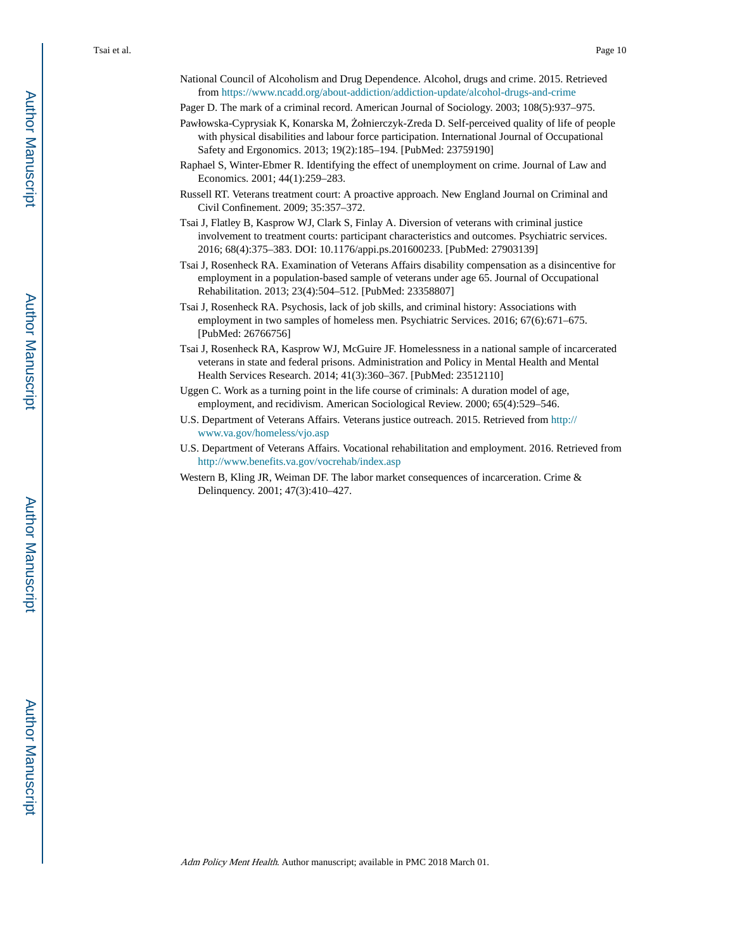- National Council of Alcoholism and Drug Dependence. Alcohol, drugs and crime. 2015. Retrieved from <https://www.ncadd.org/about-addiction/addiction-update/alcohol-drugs-and-crime>
- Pager D. The mark of a criminal record. American Journal of Sociology. 2003; 108(5):937–975.
- Pawłowska-Cyprysiak K, Konarska M, ołnierczyk-Zreda D. Self-perceived quality of life of people with physical disabilities and labour force participation. International Journal of Occupational Safety and Ergonomics. 2013; 19(2):185–194. [PubMed: 23759190]
- Raphael S, Winter-Ebmer R. Identifying the effect of unemployment on crime. Journal of Law and Economics. 2001; 44(1):259–283.
- Russell RT. Veterans treatment court: A proactive approach. New England Journal on Criminal and Civil Confinement. 2009; 35:357–372.
- Tsai J, Flatley B, Kasprow WJ, Clark S, Finlay A. Diversion of veterans with criminal justice involvement to treatment courts: participant characteristics and outcomes. Psychiatric services. 2016; 68(4):375–383. DOI: 10.1176/appi.ps.201600233. [PubMed: 27903139]
- Tsai J, Rosenheck RA. Examination of Veterans Affairs disability compensation as a disincentive for employment in a population-based sample of veterans under age 65. Journal of Occupational Rehabilitation. 2013; 23(4):504–512. [PubMed: 23358807]
- Tsai J, Rosenheck RA. Psychosis, lack of job skills, and criminal history: Associations with employment in two samples of homeless men. Psychiatric Services. 2016; 67(6):671–675. [PubMed: 26766756]
- Tsai J, Rosenheck RA, Kasprow WJ, McGuire JF. Homelessness in a national sample of incarcerated veterans in state and federal prisons. Administration and Policy in Mental Health and Mental Health Services Research. 2014; 41(3):360–367. [PubMed: 23512110]
- Uggen C. Work as a turning point in the life course of criminals: A duration model of age, employment, and recidivism. American Sociological Review. 2000; 65(4):529–546.
- U.S. Department of Veterans Affairs. Veterans justice outreach. 2015. Retrieved from [http://](http://www.va.gov/homeless/vjo.asp) [www.va.gov/homeless/vjo.asp](http://www.va.gov/homeless/vjo.asp)
- U.S. Department of Veterans Affairs. Vocational rehabilitation and employment. 2016. Retrieved from <http://www.benefits.va.gov/vocrehab/index.asp>
- Western B, Kling JR, Weiman DF. The labor market consequences of incarceration. Crime & Delinquency. 2001; 47(3):410–427.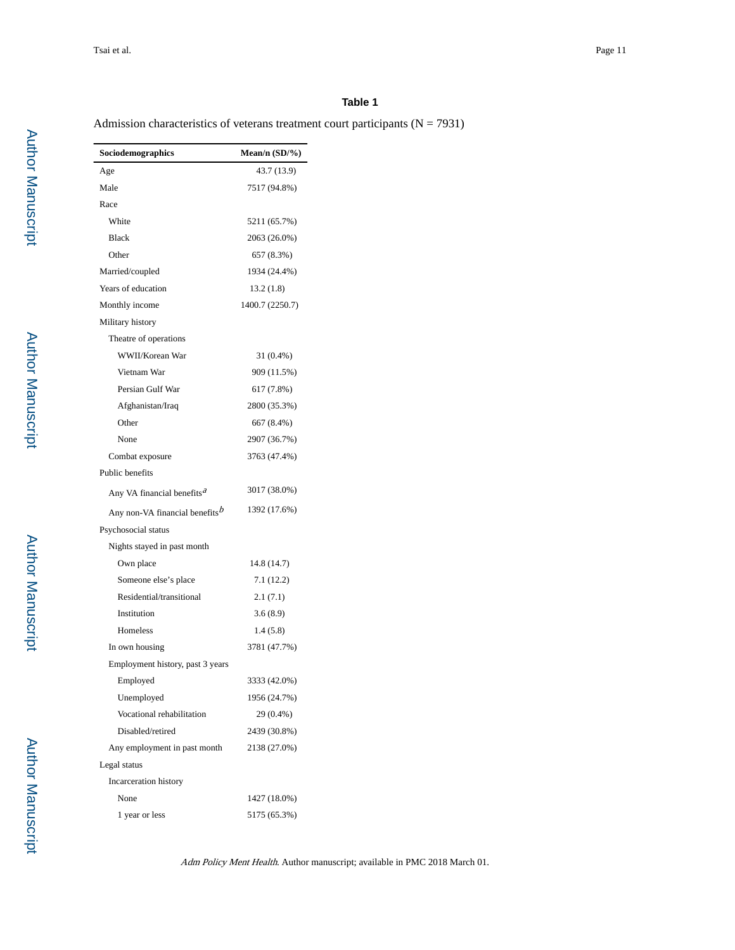Admission characteristics of veterans treatment court participants  $(N = 7931)$ 

| Sociodemographics                                       | Mean/n $(SD/\%)$ |
|---------------------------------------------------------|------------------|
| Age                                                     | 43.7 (13.9)      |
| Male                                                    | 7517 (94.8%)     |
| Race                                                    |                  |
| White                                                   | 5211 (65.7%)     |
| <b>Black</b>                                            | 2063 (26.0%)     |
| Other                                                   | 657 (8.3%)       |
| Married/coupled                                         | 1934 (24.4%)     |
| Years of education                                      | 13.2(1.8)        |
| Monthly income                                          | 1400.7 (2250.7)  |
| Military history                                        |                  |
| Theatre of operations                                   |                  |
| WWII/Korean War                                         | 31 (0.4%)        |
| Vietnam War                                             | 909 (11.5%)      |
| Persian Gulf War                                        | 617 (7.8%)       |
| Afghanistan/Iraq                                        | 2800 (35.3%)     |
| Other                                                   | 667 (8.4%)       |
| None                                                    | 2907 (36.7%)     |
| Combat exposure                                         | 3763 (47.4%)     |
| Public benefits                                         |                  |
| Any VA financial benefits <sup>a</sup>                  | 3017 (38.0%)     |
| Any non-VA financial benefits <sup><math>b</math></sup> | 1392 (17.6%)     |
| Psychosocial status                                     |                  |
| Nights stayed in past month                             |                  |
| Own place                                               | 14.8 (14.7)      |
| Someone else's place                                    | 7.1(12.2)        |
| Residential/transitional                                | 2.1(7.1)         |
| Institution                                             | 3.6(8.9)         |
| Homeless                                                | 1.4(5.8)         |
| In own housing                                          | 3781 (47.7%)     |
| Employment history, past 3 years                        |                  |
| Employed                                                | 3333 (42.0%)     |
| Unemployed                                              | 1956 (24.7%)     |
| Vocational rehabilitation                               | 29 (0.4%)        |
| Disabled/retired                                        | 2439 (30.8%)     |
| Any employment in past month                            | 2138 (27.0%)     |
| Legal status                                            |                  |
| Incarceration history                                   |                  |
| None                                                    | 1427 (18.0%)     |
| 1 year or less                                          | 5175 (65.3%)     |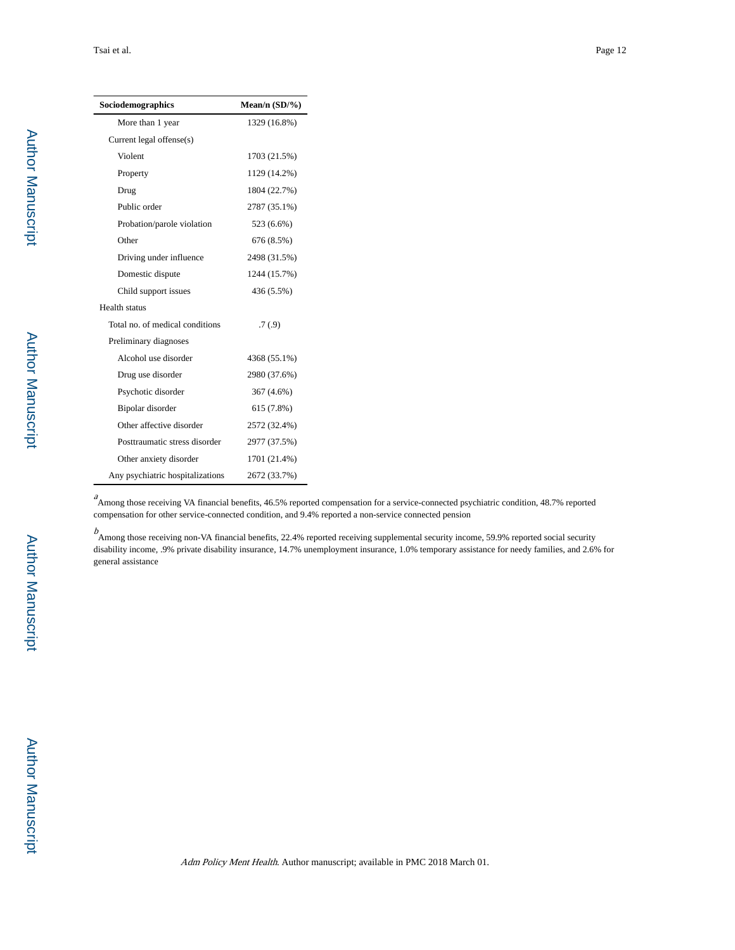| Sociodemographics                | Mean/n $(SD/\%)$ |
|----------------------------------|------------------|
| More than 1 year                 | 1329 (16.8%)     |
| Current legal offense(s)         |                  |
| Violent                          | 1703 (21.5%)     |
| Property                         | 1129 (14.2%)     |
| Drug                             | 1804 (22.7%)     |
| Public order                     | 2787 (35.1%)     |
| Probation/parole violation       | 523 (6.6%)       |
| Other                            | 676 (8.5%)       |
| Driving under influence          | 2498 (31.5%)     |
| Domestic dispute                 | 1244 (15.7%)     |
| Child support issues             | 436 (5.5%)       |
| <b>Health</b> status             |                  |
| Total no. of medical conditions  | .7(0.9)          |
| Preliminary diagnoses            |                  |
| Alcohol use disorder             | 4368 (55.1%)     |
| Drug use disorder                | 2980 (37.6%)     |
| Psychotic disorder               | 367 (4.6%)       |
| Bipolar disorder                 | 615 (7.8%)       |
| Other affective disorder         | 2572 (32.4%)     |
| Posttraumatic stress disorder    | 2977 (37.5%)     |
| Other anxiety disorder           | 1701 (21.4%)     |
| Any psychiatric hospitalizations | 2672 (33.7%)     |

a Among those receiving VA financial benefits, 46.5% reported compensation for a service-connected psychiatric condition, 48.7% reported compensation for other service-connected condition, and 9.4% reported a non-service connected pension

b<br>Among those receiving non-VA financial benefits, 22.4% reported receiving supplemental security income, 59.9% reported social security disability income, .9% private disability insurance, 14.7% unemployment insurance, 1.0% temporary assistance for needy families, and 2.6% for general assistance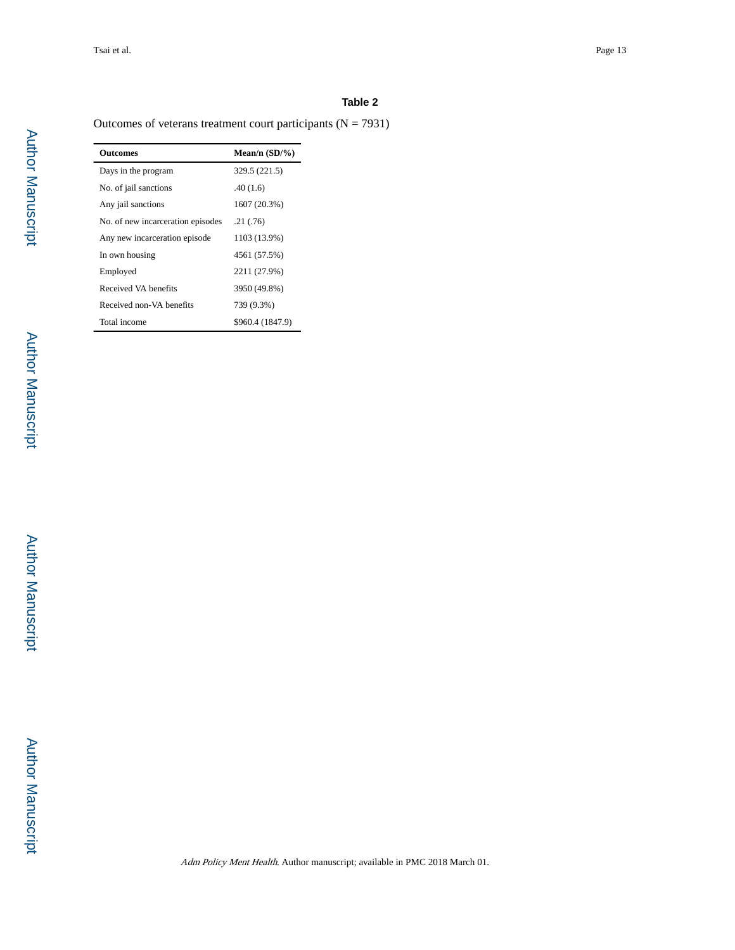Outcomes of veterans treatment court participants  $(N = 7931)$ 

| <b>Outcomes</b>                   | Mean/n $(SD/\%)$ |
|-----------------------------------|------------------|
| Days in the program               | 329.5 (221.5)    |
| No. of jail sanctions             | .40(1.6)         |
| Any jail sanctions                | 1607 (20.3%)     |
| No. of new incarceration episodes | .21(0.76)        |
| Any new incarceration episode     | 1103 (13.9%)     |
| In own housing                    | 4561 (57.5%)     |
| Employed                          | 2211 (27.9%)     |
| Received VA benefits              | 3950 (49.8%)     |
| Received non-VA benefits          | 739 (9.3%)       |
| Total income                      | \$960.4 (1847.9) |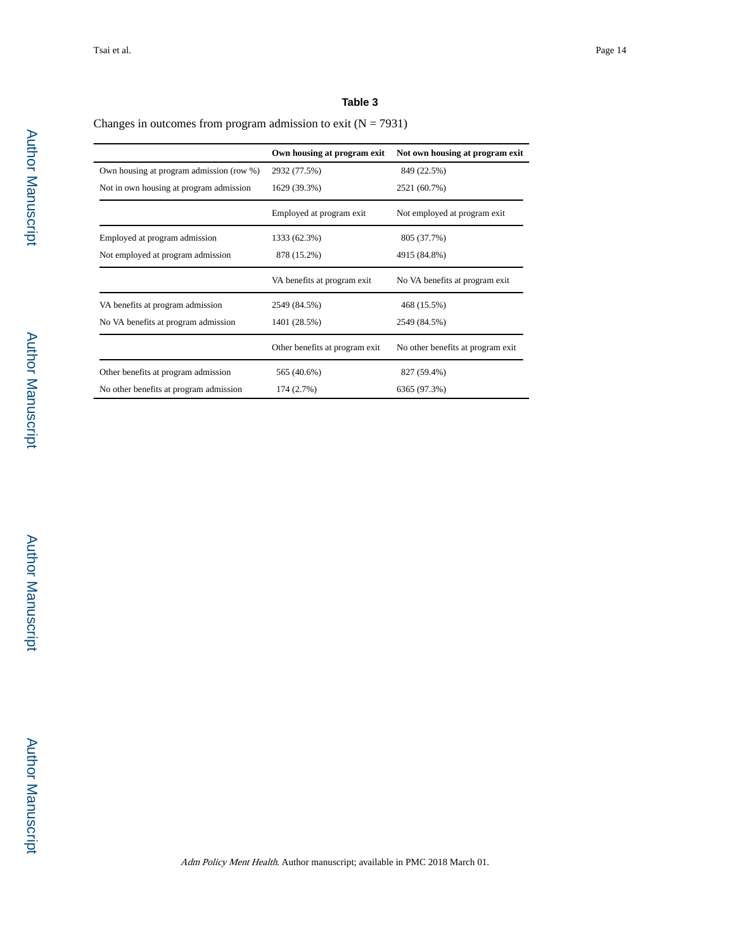# Changes in outcomes from program admission to exit  $(N = 7931)$

|                                          | Own housing at program exit    | Not own housing at program exit    |
|------------------------------------------|--------------------------------|------------------------------------|
| Own housing at program admission (row %) | 2932 (77.5%)                   | 849 (22.5%)                        |
| Not in own housing at program admission  | 1629 (39.3%)                   | 2521 (60.7%)                       |
|                                          | Employed at program exit       | Not employed at program exit       |
| Employed at program admission            | 1333 (62.3%)                   | 805 (37.7%)                        |
| Not employed at program admission        | 878 (15.2%)                    | 4915 (84.8%)                       |
|                                          | VA benefits at program exit    | No VA benefits at program exit     |
| VA benefits at program admission         | 2549 (84.5%)                   | 468 (15.5%)                        |
| No VA benefits at program admission      | 1401 (28.5%)                   | 2549 (84.5%)                       |
|                                          | Other benefits at program exit | No other benefits at program exit. |
| Other benefits at program admission      | 565 (40.6%)                    | 827 (59.4%)                        |
| No other benefits at program admission   | 174 (2.7%)                     | 6365 (97.3%)                       |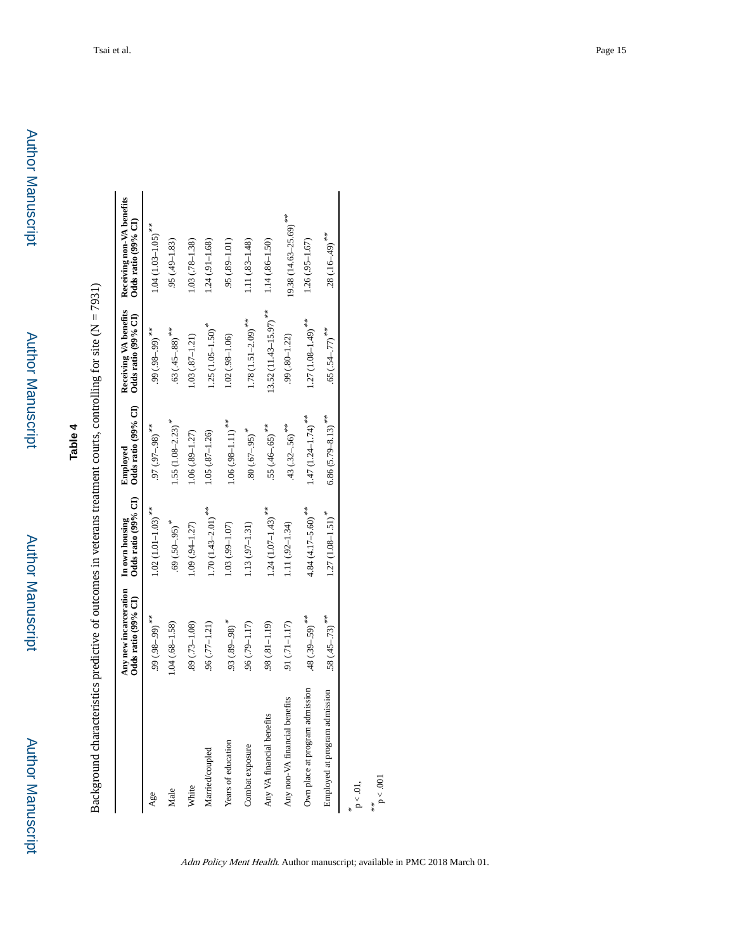| ì |
|---|
|   |
|   |
|   |
|   |
|   |
|   |
|   |
|   |
|   |
|   |
| ï |
| ı |

Background characteristics predictive of outcomes in veterans treatment courts, controlling for site  $(N = 7931)$ Background characteristics predictive of outcomes in veterans treatment courts, controlling for site (N = 7931)

|                                | Any new incarceration<br>Odds ratio (99% CI) | Odds ratio (99% CI)<br>In own housing | Odds ratio (99% CI)<br>Employed  | Odds ratio (99% CI)                | Receiving VA benefits Receiving non-VA benefits<br>Odds ratio (99% CI) |
|--------------------------------|----------------------------------------------|---------------------------------------|----------------------------------|------------------------------------|------------------------------------------------------------------------|
| Age                            | $99(.98-.99)$ **                             | $1.02(1.01-1.03)$ <sup>**</sup>       | $37(.97-98)^{**}$                | $***$ (98-98) $*$                  | $1.04(1.03-1.05)$ <sup>**</sup>                                        |
| Male                           | $1.04(0.68 - 1.58)$                          | $-69(.50-95)$                         | $1.55(1.08 - 2.23)$ <sup>*</sup> | $.63(.45-.88)$ <sup>**</sup>       | $.95(.49 - 1.83)$                                                      |
| White                          | 89 (.73-1.08)                                | $1.09(0.94 - 1.27)$                   | $1.06(.89 - 1.27)$               | $1.03(87 - 1.21)$                  | $1.03(.78 - 1.38)$                                                     |
| Married/coupled                | 96 (.77-1.21)                                | $1.70(1.43 - 2.01)^{***}$             | $1.05(87 - 1.26)$                | $1.25(1.05-1.50)$ <sup>*</sup>     | $1.24(.91 - 1.68)$                                                     |
| Years of education             | $.93(.89-.98)$ <sup>*</sup>                  | 1.03 (.99-1.07)                       | $1.06(0.98 - 1.11)^{***}$        | $1.02(.98 - 1.06)$                 | $(10.1 - 68)$ (.89-1)                                                  |
| Combat exposure                | 96 (.79-1.17)                                | $1.13(97-1.31)$                       | $80(.67 - .95)$ <sup>*</sup>     | $1.78(1.51-2.09)$ <sup>**</sup>    | $1.11(.83 - 1.48)$                                                     |
| Any VA financial benefits      | 98 (.81-1.19)                                | $1.24(1.07-1.43)$ <sup>**</sup>       | $.55(.46 - .65)$ <sup>**</sup>   | $13.52(11.43-15.97)$ <sup>**</sup> | $1.14(.86-1.50)$                                                       |
| Any non-VA financial benefits  | $.91(.71 - 1.17)$                            | 1.11 (.92-1.34)                       | $.43(.32-.56)$ <sup>**</sup>     | .99 (.80-1.22)                     | $19.38(14.63 - 25.69)$ **                                              |
| Own place at program admission | $.48(.39-.59)$ <sup>**</sup>                 | $4.84(4.17 - 5.60)$ <sup>**</sup>     | $1.47(1.24 - 1.74)^{***}$        | $1.27(1.08-1.49)$ <sup>**</sup>    | $1.26(.95 - 1.67)$                                                     |
| Employed at program admission  | $58(.45-.73)$ <sup>**</sup>                  | $1.27(1.08-1.51)$ <sup>*</sup>        | $6.86$ (5.79-8.13) <sup>**</sup> | $.65(.54-.77)$ <sup>**</sup>       | $.28(.16-.49)$ <sup>**</sup>                                           |
| $p < 0.01$ ,                   |                                              |                                       |                                  |                                    |                                                                        |
| $* *$                          |                                              |                                       |                                  |                                    |                                                                        |

\*\* p < .001